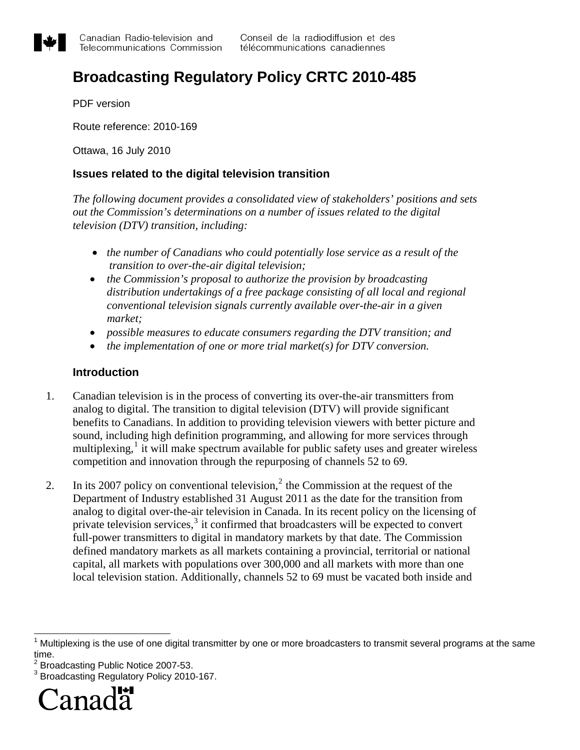<span id="page-0-0"></span>

# **Broadcasting Regulatory Policy CRTC 2010-485**

PDF version

Route reference: 2010-169

Ottawa, 16 July 2010

## **Issues related to the digital television transition**

*The following document provides a consolidated view of stakeholders' positions and sets out the Commission's determinations on a number of issues related to the digital television (DTV) transition, including:* 

- *the number of Canadians who could potentially lose service as a result of the transition to over-the-air digital television;*
- *the Commission's proposal to authorize the provision by broadcasting distribution undertakings of a free package consisting of all local and regional conventional television signals currently available over-the-air in a given market;*
- *possible measures to educate consumers regarding the DTV transition; and*
- *the implementation of one or more trial market(s) for DTV conversion.*

### **Introduction**

- 1. Canadian television is in the process of converting its over-the-air transmitters from analog to digital. The transition to digital television (DTV) will provide significant benefits to Canadians. In addition to providing television viewers with better picture and sound, including high definition programming, and allowing for more services through multiplexing,<sup>[1](#page-0-0)</sup> it will make spectrum available for public safety uses and greater wireless competition and innovation through the repurposing of channels 52 to 69.
- [2](#page-0-0). In its 2007 policy on conventional television,<sup>2</sup> the Commission at the request of the Department of Industry established 31 August 2011 as the date for the transition from analog to digital over-the-air television in Canada. In its recent policy on the licensing of private television services,<sup>[3](#page-0-0)</sup> it confirmed that broadcasters will be expected to convert full-power transmitters to digital in mandatory markets by that date. The Commission defined mandatory markets as all markets containing a provincial, territorial or national capital, all markets with populations over 300,000 and all markets with more than one local television station. Additionally, channels 52 to 69 must be vacated both inside and

<sup>2</sup> Broadcasting Public Notice 2007-53.<br><sup>3</sup> Broadcasting Begulatery Policy 2010

Broadcasting Regulatory Policy 2010-167.



 $\overline{\phantom{a}}$ 

 $1$  Multiplexing is the use of one digital transmitter by one or more broadcasters to transmit several programs at the same time.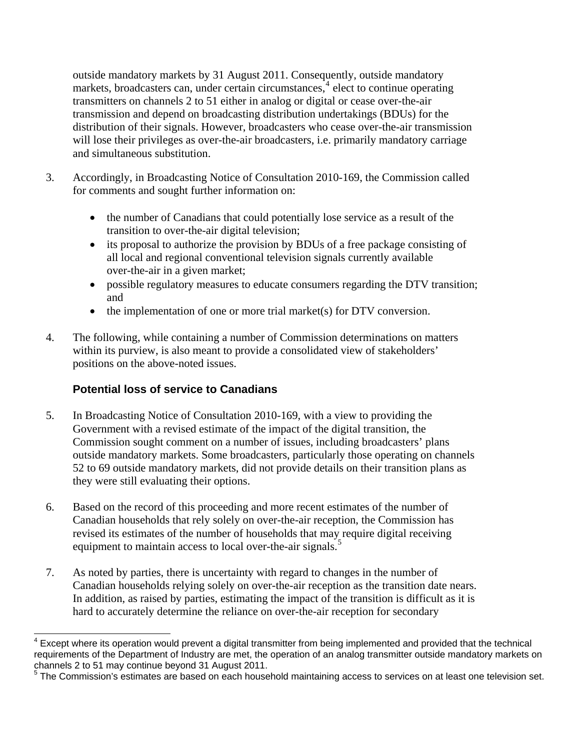<span id="page-1-0"></span>outside mandatory markets by 31 August 2011. Consequently, outside mandatory markets, broadcasters can, under certain circumstances,<sup>[4](#page-1-0)</sup> elect to continue operating transmitters on channels 2 to 51 either in analog or digital or cease over-the-air transmission and depend on broadcasting distribution undertakings (BDUs) for the distribution of their signals. However, broadcasters who cease over-the-air transmission will lose their privileges as over-the-air broadcasters, i.e. primarily mandatory carriage and simultaneous substitution.

- 3. Accordingly, in Broadcasting Notice of Consultation 2010-169, the Commission called for comments and sought further information on:
	- the number of Canadians that could potentially lose service as a result of the transition to over-the-air digital television;
	- its proposal to authorize the provision by BDUs of a free package consisting of all local and regional conventional television signals currently available over-the-air in a given market;
	- possible regulatory measures to educate consumers regarding the DTV transition; and
	- the implementation of one or more trial market(s) for DTV conversion.
- 4. The following, while containing a number of Commission determinations on matters within its purview, is also meant to provide a consolidated view of stakeholders' positions on the above-noted issues.

# **Potential loss of service to Canadians**

- 5. In Broadcasting Notice of Consultation 2010-169, with a view to providing the Government with a revised estimate of the impact of the digital transition, the Commission sought comment on a number of issues, including broadcasters' plans outside mandatory markets. Some broadcasters, particularly those operating on channels 52 to 69 outside mandatory markets, did not provide details on their transition plans as they were still evaluating their options.
- 6. Based on the record of this proceeding and more recent estimates of the number of Canadian households that rely solely on over-the-air reception, the Commission has revised its estimates of the number of households that may require digital receiving equipment to maintain access to local over-the-air signals.<sup>[5](#page-1-0)</sup>
- 7. As noted by parties, there is uncertainty with regard to changes in the number of Canadian households relying solely on over-the-air reception as the transition date nears. In addition, as raised by parties, estimating the impact of the transition is difficult as it is hard to accurately determine the reliance on over-the-air reception for secondary

 $\overline{\phantom{a}}$ <sup>4</sup> Except where its operation would prevent a digital transmitter from being implemented and provided that the technical requirements of the Department of Industry are met, the operation of an analog transmitter outside mandatory markets on channels 2 to 51 may continue beyond 31 August 2011.<br><sup>5</sup> The Commission's estimates are beend an aash beyon

The Commission's estimates are based on each household maintaining access to services on at least one television set.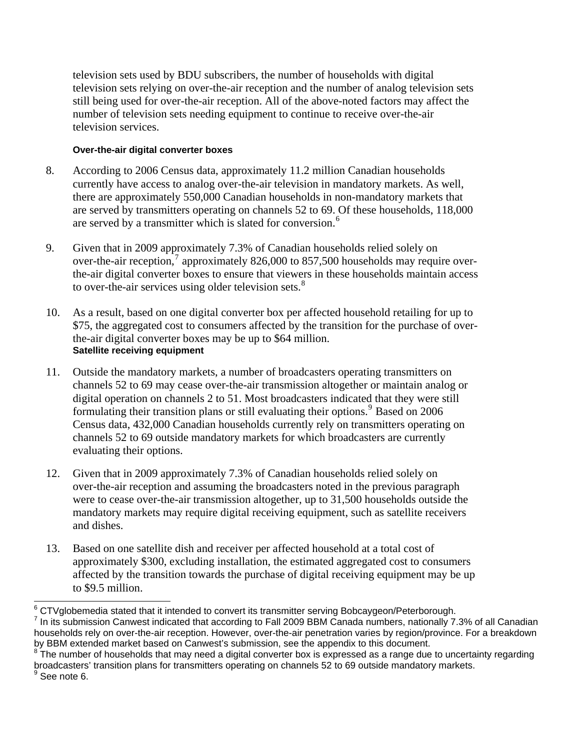<span id="page-2-0"></span>television sets used by BDU subscribers, the number of households with digital television sets relying on over-the-air reception and the number of analog television sets still being used for over-the-air reception. All of the above-noted factors may affect the number of television sets needing equipment to continue to receive over-the-air television services.

#### **Over-the-air digital converter boxes**

- 8. According to 2006 Census data, approximately 11.2 million Canadian households currently have access to analog over-the-air television in mandatory markets. As well, there are approximately 550,000 Canadian households in non-mandatory markets that are served by transmitters operating on channels 52 to 69. Of these households, 118,000 are served by a transmitter which is slated for conversion.<sup>[6](#page-2-0)</sup>
- 9. Given that in 2009 approximately 7.3% of Canadian households relied solely on over-the-air reception,<sup>[7](#page-2-0)</sup> approximately 826,000 to 857,500 households may require overthe-air digital converter boxes to ensure that viewers in these households maintain access to over-the-air services using older television sets.<sup>[8](#page-2-0)</sup>
- 10. As a result, based on one digital converter box per affected household retailing for up to \$75, the aggregated cost to consumers affected by the transition for the purchase of overthe-air digital converter boxes may be up to \$64 million. **Satellite receiving equipment**
- evaluating their options. 11. Outside the mandatory markets, a number of broadcasters operating transmitters on channels 52 to 69 may cease over-the-air transmission altogether or maintain analog or digital operation on channels 2 to 51. Most broadcasters indicated that they were still formulating their transition plans or still evaluating their options.<sup>[9](#page-2-0)</sup> Based on 2006 Census data, 432,000 Canadian households currently rely on transmitters operating on channels 52 to 69 outside mandatory markets for which broadcasters are currently
- 12. Given that in 2009 approximately 7.3% of Canadian households relied solely on over-the-air reception and assuming the broadcasters noted in the previous paragraph were to cease over-the-air transmission altogether, up to 31,500 households outside the mandatory markets may require digital receiving equipment, such as satellite receivers and dishes.
- 13. Based on one satellite dish and receiver per affected household at a total cost of approximately \$300, excluding installation, the estimated aggregated cost to consumers affected by the transition towards the purchase of digital receiving equipment may be up to \$9.5 million.

<sup>&</sup>lt;sup>6</sup> CTVglobemedia stated that it intended to convert its transmitter serving Bobcaygeon/Peterborough.<br><sup>7</sup> In its submission Convest indicated that according to Fell 2000 BBM Conade numbers, nationally 7.

 $^7$  In its submission Canwest indicated that according to Fall 2009 BBM Canada numbers, nationally 7.3% of all Canadian households rely on over-the-air reception. However, over-the-air penetration varies by region/province. For a breakdown by BBM extended market based on Canwest's submission, see the appendix to this document.

 $8\degree$ The number of households that may need a digital converter box is expressed as a range due to uncertainty regarding broadcasters' transition plans for transmitters operating on channels 52 to 69 outside mandatory markets. See note 6.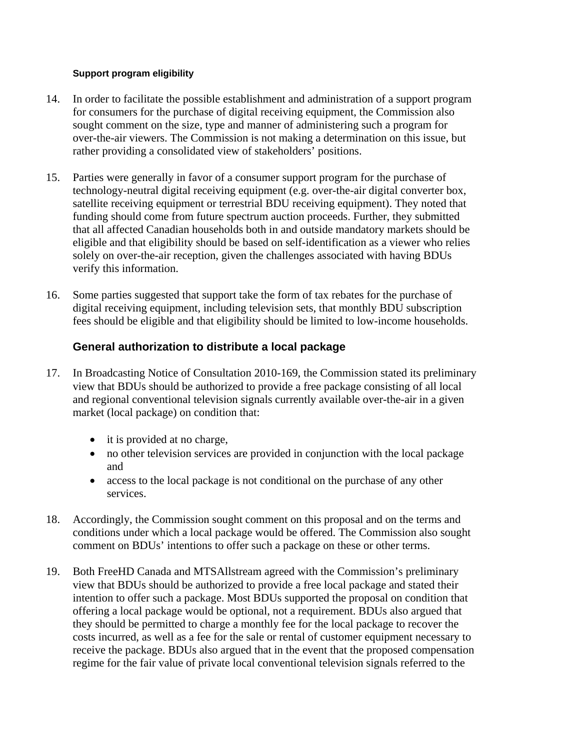#### **Support program eligibility**

- 14. In order to facilitate the possible establishment and administration of a support program for consumers for the purchase of digital receiving equipment, the Commission also sought comment on the size, type and manner of administering such a program for over-the-air viewers. The Commission is not making a determination on this issue, but rather providing a consolidated view of stakeholders' positions.
- 15. Parties were generally in favor of a consumer support program for the purchase of technology-neutral digital receiving equipment (e.g. over-the-air digital converter box, satellite receiving equipment or terrestrial BDU receiving equipment). They noted that funding should come from future spectrum auction proceeds. Further, they submitted that all affected Canadian households both in and outside mandatory markets should be eligible and that eligibility should be based on self-identification as a viewer who relies solely on over-the-air reception, given the challenges associated with having BDUs verify this information.
- 16. Some parties suggested that support take the form of tax rebates for the purchase of digital receiving equipment, including television sets, that monthly BDU subscription fees should be eligible and that eligibility should be limited to low-income households.

## **General authorization to distribute a local package**

- 17. In Broadcasting Notice of Consultation 2010-169, the Commission stated its preliminary view that BDUs should be authorized to provide a free package consisting of all local and regional conventional television signals currently available over-the-air in a given market (local package) on condition that:
	- it is provided at no charge,
	- no other television services are provided in conjunction with the local package and
	- access to the local package is not conditional on the purchase of any other services.
- 18. Accordingly, the Commission sought comment on this proposal and on the terms and conditions under which a local package would be offered. The Commission also sought comment on BDUs' intentions to offer such a package on these or other terms.
- 19. Both FreeHD Canada and MTSAllstream agreed with the Commission's preliminary view that BDUs should be authorized to provide a free local package and stated their intention to offer such a package. Most BDUs supported the proposal on condition that offering a local package would be optional, not a requirement. BDUs also argued that they should be permitted to charge a monthly fee for the local package to recover the costs incurred, as well as a fee for the sale or rental of customer equipment necessary to receive the package. BDUs also argued that in the event that the proposed compensation regime for the fair value of private local conventional television signals referred to the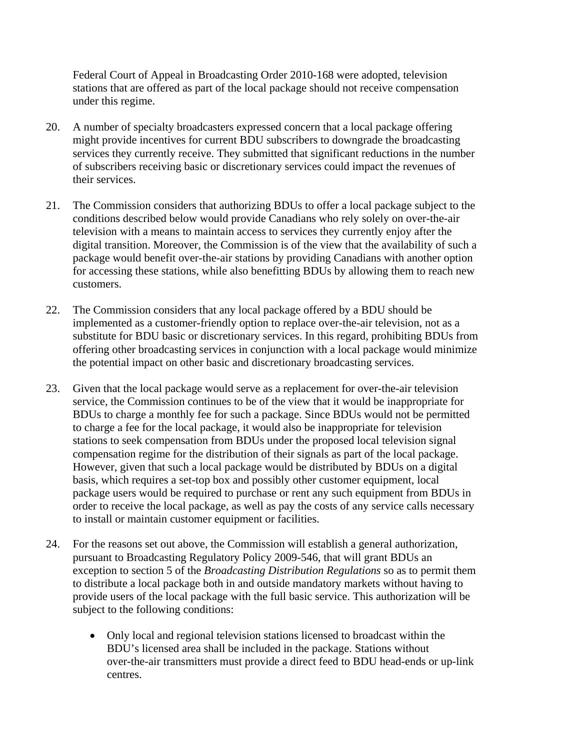Federal Court of Appeal in Broadcasting Order 2010-168 were adopted, television stations that are offered as part of the local package should not receive compensation under this regime.

- 20. A number of specialty broadcasters expressed concern that a local package offering might provide incentives for current BDU subscribers to downgrade the broadcasting services they currently receive. They submitted that significant reductions in the number of subscribers receiving basic or discretionary services could impact the revenues of their services.
- 21. The Commission considers that authorizing BDUs to offer a local package subject to the conditions described below would provide Canadians who rely solely on over-the-air television with a means to maintain access to services they currently enjoy after the digital transition. Moreover, the Commission is of the view that the availability of such a package would benefit over-the-air stations by providing Canadians with another option for accessing these stations, while also benefitting BDUs by allowing them to reach new customers.
- 22. The Commission considers that any local package offered by a BDU should be implemented as a customer-friendly option to replace over-the-air television, not as a substitute for BDU basic or discretionary services. In this regard, prohibiting BDUs from offering other broadcasting services in conjunction with a local package would minimize the potential impact on other basic and discretionary broadcasting services.
- 23. Given that the local package would serve as a replacement for over-the-air television service, the Commission continues to be of the view that it would be inappropriate for BDUs to charge a monthly fee for such a package. Since BDUs would not be permitted to charge a fee for the local package, it would also be inappropriate for television stations to seek compensation from BDUs under the proposed local television signal compensation regime for the distribution of their signals as part of the local package. However, given that such a local package would be distributed by BDUs on a digital basis, which requires a set-top box and possibly other customer equipment, local package users would be required to purchase or rent any such equipment from BDUs in order to receive the local package, as well as pay the costs of any service calls necessary to install or maintain customer equipment or facilities.
- 24. For the reasons set out above, the Commission will establish a general authorization, pursuant to Broadcasting Regulatory Policy 2009-546, that will grant BDUs an exception to section 5 of the *Broadcasting Distribution Regulations* so as to permit them to distribute a local package both in and outside mandatory markets without having to provide users of the local package with the full basic service. This authorization will be subject to the following conditions:
	- Only local and regional television stations licensed to broadcast within the BDU's licensed area shall be included in the package. Stations without over-the-air transmitters must provide a direct feed to BDU head-ends or up-link centres.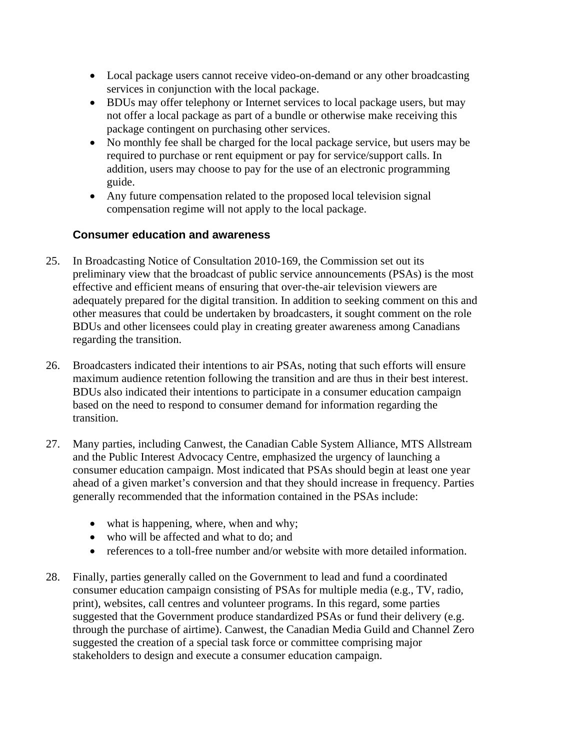- Local package users cannot receive video-on-demand or any other broadcasting services in conjunction with the local package.
- BDUs may offer telephony or Internet services to local package users, but may not offer a local package as part of a bundle or otherwise make receiving this package contingent on purchasing other services.
- No monthly fee shall be charged for the local package service, but users may be required to purchase or rent equipment or pay for service/support calls. In addition, users may choose to pay for the use of an electronic programming guide.
- Any future compensation related to the proposed local television signal compensation regime will not apply to the local package.

## **Consumer education and awareness**

- 25. In Broadcasting Notice of Consultation 2010-169, the Commission set out its preliminary view that the broadcast of public service announcements (PSAs) is the most effective and efficient means of ensuring that over-the-air television viewers are adequately prepared for the digital transition. In addition to seeking comment on this and other measures that could be undertaken by broadcasters, it sought comment on the role BDUs and other licensees could play in creating greater awareness among Canadians regarding the transition.
- 26. Broadcasters indicated their intentions to air PSAs, noting that such efforts will ensure maximum audience retention following the transition and are thus in their best interest. BDUs also indicated their intentions to participate in a consumer education campaign based on the need to respond to consumer demand for information regarding the transition.
- 27. Many parties, including Canwest, the Canadian Cable System Alliance, MTS Allstream and the Public Interest Advocacy Centre, emphasized the urgency of launching a consumer education campaign. Most indicated that PSAs should begin at least one year ahead of a given market's conversion and that they should increase in frequency. Parties generally recommended that the information contained in the PSAs include:
	- what is happening, where, when and why;
	- who will be affected and what to do; and
	- references to a toll-free number and/or website with more detailed information.
- 28. Finally, parties generally called on the Government to lead and fund a coordinated consumer education campaign consisting of PSAs for multiple media (e.g., TV, radio, print), websites, call centres and volunteer programs. In this regard, some parties suggested that the Government produce standardized PSAs or fund their delivery (e.g. through the purchase of airtime). Canwest, the Canadian Media Guild and Channel Zero suggested the creation of a special task force or committee comprising major stakeholders to design and execute a consumer education campaign.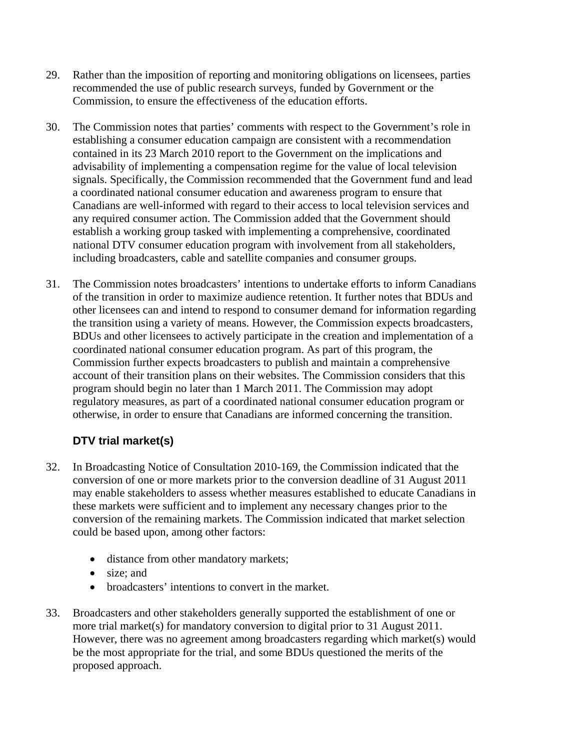- 29. Rather than the imposition of reporting and monitoring obligations on licensees, parties recommended the use of public research surveys, funded by Government or the Commission, to ensure the effectiveness of the education efforts.
- 30. The Commission notes that parties' comments with respect to the Government's role in establishing a consumer education campaign are consistent with a recommendation contained in its 23 March 2010 report to the Government on the implications and advisability of implementing a compensation regime for the value of local television signals. Specifically, the Commission recommended that the Government fund and lead a coordinated national consumer education and awareness program to ensure that Canadians are well-informed with regard to their access to local television services and any required consumer action. The Commission added that the Government should establish a working group tasked with implementing a comprehensive, coordinated national DTV consumer education program with involvement from all stakeholders, including broadcasters, cable and satellite companies and consumer groups.
- 31. The Commission notes broadcasters' intentions to undertake efforts to inform Canadians of the transition in order to maximize audience retention. It further notes that BDUs and other licensees can and intend to respond to consumer demand for information regarding the transition using a variety of means. However, the Commission expects broadcasters, BDUs and other licensees to actively participate in the creation and implementation of a coordinated national consumer education program. As part of this program, the Commission further expects broadcasters to publish and maintain a comprehensive account of their transition plans on their websites. The Commission considers that this program should begin no later than 1 March 2011. The Commission may adopt regulatory measures, as part of a coordinated national consumer education program or otherwise, in order to ensure that Canadians are informed concerning the transition.

# **DTV trial market(s)**

- 32. In Broadcasting Notice of Consultation 2010-169, the Commission indicated that the conversion of one or more markets prior to the conversion deadline of 31 August 2011 may enable stakeholders to assess whether measures established to educate Canadians in these markets were sufficient and to implement any necessary changes prior to the conversion of the remaining markets. The Commission indicated that market selection could be based upon, among other factors:
	- distance from other mandatory markets;
	- size: and
	- broadcasters' intentions to convert in the market.
- 33. Broadcasters and other stakeholders generally supported the establishment of one or more trial market(s) for mandatory conversion to digital prior to 31 August 2011. However, there was no agreement among broadcasters regarding which market(s) would be the most appropriate for the trial, and some BDUs questioned the merits of the proposed approach.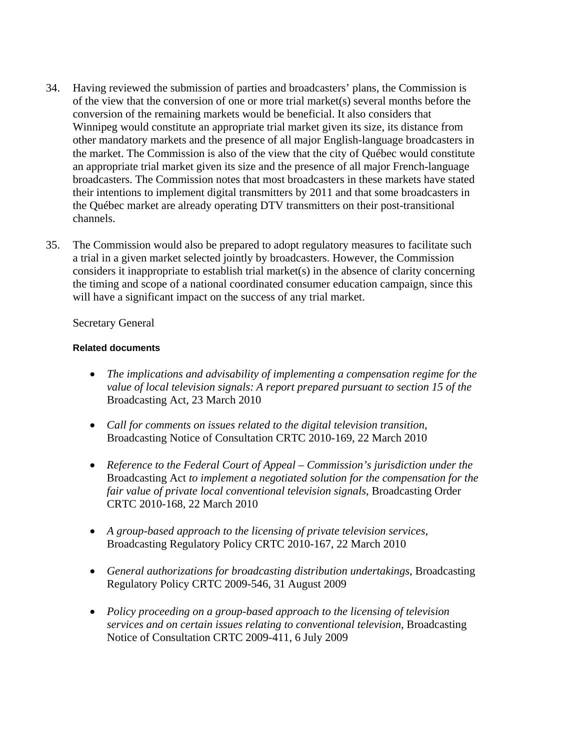- 34. Having reviewed the submission of parties and broadcasters' plans, the Commission is of the view that the conversion of one or more trial market(s) several months before the conversion of the remaining markets would be beneficial. It also considers that Winnipeg would constitute an appropriate trial market given its size, its distance from other mandatory markets and the presence of all major English-language broadcasters in the market. The Commission is also of the view that the city of Québec would constitute an appropriate trial market given its size and the presence of all major French-language broadcasters. The Commission notes that most broadcasters in these markets have stated their intentions to implement digital transmitters by 2011 and that some broadcasters in the Québec market are already operating DTV transmitters on their post-transitional channels.
- 35. The Commission would also be prepared to adopt regulatory measures to facilitate such a trial in a given market selected jointly by broadcasters. However, the Commission considers it inappropriate to establish trial market(s) in the absence of clarity concerning the timing and scope of a national coordinated consumer education campaign, since this will have a significant impact on the success of any trial market.

#### Secretary General

#### **Related documents**

- *The implications and advisability of implementing a compensation regime for the value of local television signals: A report prepared pursuant to section 15 of the*  Broadcasting Act, 23 March 2010
- *Call for comments on issues related to the digital television transition*, Broadcasting Notice of Consultation CRTC 2010-169, 22 March 2010
- *Reference to the Federal Court of Appeal Commission's jurisdiction under the*  Broadcasting Act *to implement a negotiated solution for the compensation for the fair value of private local conventional television signals*, Broadcasting Order CRTC 2010-168, 22 March 2010
- *A group-based approach to the licensing of private television services*, Broadcasting Regulatory Policy CRTC 2010-167, 22 March 2010
- *General authorizations for broadcasting distribution undertakings*, Broadcasting Regulatory Policy CRTC 2009-546, 31 August 2009
- *Policy proceeding on a group-based approach to the licensing of television services and on certain issues relating to conventional television*, Broadcasting Notice of Consultation CRTC 2009-411, 6 July 2009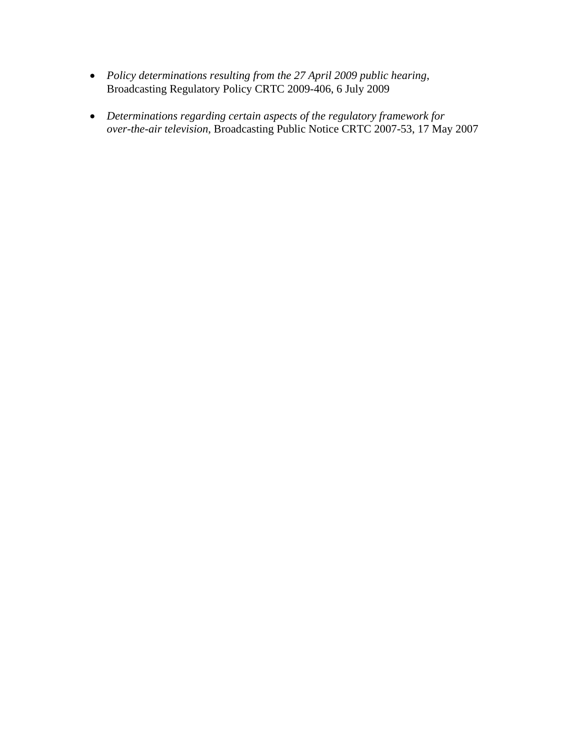- *Policy determinations resulting from the 27 April 2009 public hearing*, Broadcasting Regulatory Policy CRTC 2009-406, 6 July 2009
- *Determinations regarding certain aspects of the regulatory framework for over-the-air television*, Broadcasting Public Notice CRTC 2007-53, 17 May 2007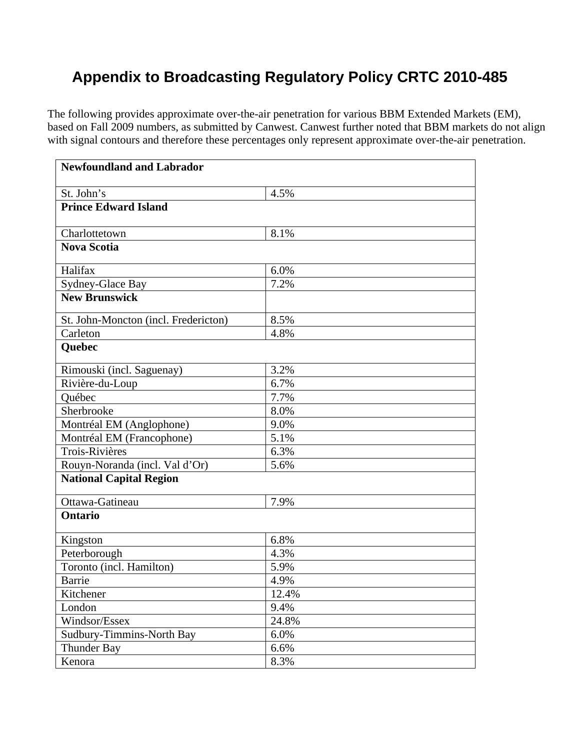# **Appendix to Broadcasting Regulatory Policy CRTC 2010-485**

The following provides approximate over-the-air penetration for various BBM Extended Markets (EM), based on Fall 2009 numbers, as submitted by Canwest. Canwest further noted that BBM markets do not align with signal contours and therefore these percentages only represent approximate over-the-air penetration.

| <b>Newfoundland and Labrador</b>     |       |
|--------------------------------------|-------|
| St. John's                           | 4.5%  |
| <b>Prince Edward Island</b>          |       |
| Charlottetown                        | 8.1%  |
| <b>Nova Scotia</b>                   |       |
| Halifax                              | 6.0%  |
| Sydney-Glace Bay                     | 7.2%  |
| <b>New Brunswick</b>                 |       |
| St. John-Moncton (incl. Fredericton) | 8.5%  |
| Carleton                             | 4.8%  |
| <b>Ouebec</b>                        |       |
| Rimouski (incl. Saguenay)            | 3.2%  |
| Rivière-du-Loup                      | 6.7%  |
| Québec                               | 7.7%  |
| Sherbrooke                           | 8.0%  |
| Montréal EM (Anglophone)             | 9.0%  |
| Montréal EM (Francophone)            | 5.1%  |
| Trois-Rivières                       | 6.3%  |
| Rouyn-Noranda (incl. Val d'Or)       | 5.6%  |
| <b>National Capital Region</b>       |       |
| Ottawa-Gatineau                      | 7.9%  |
| <b>Ontario</b>                       |       |
| Kingston                             | 6.8%  |
| Peterborough                         | 4.3%  |
| Toronto (incl. Hamilton)             | 5.9%  |
| Barrie                               | 4.9%  |
| Kitchener                            | 12.4% |
| London                               | 9.4%  |
| Windsor/Essex                        | 24.8% |
| Sudbury-Timmins-North Bay            | 6.0%  |
| <b>Thunder Bay</b>                   | 6.6%  |
| Kenora                               | 8.3%  |